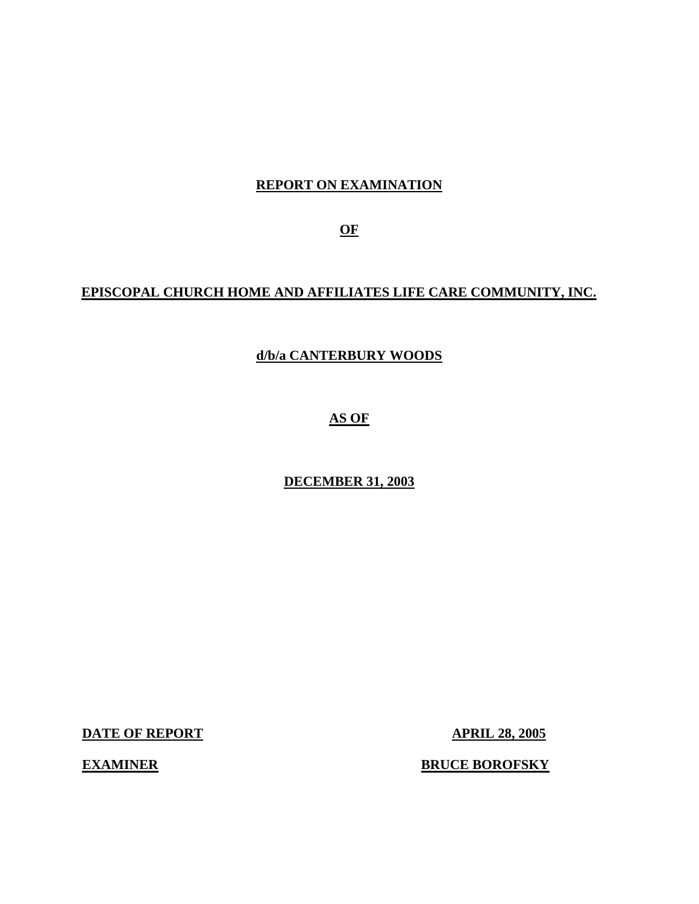# **REPORT ON EXAMINATION**

**OF** 

# **EPISCOPAL CHURCH HOME AND AFFILIATES LIFE CARE COMMUNITY, INC.**

# **d/b/a CANTERBURY WOODS**

**AS OF** 

**DECEMBER 31, 2003** 

**DATE OF REPORT APRIL 28, 2005** 

**EXAMINER** 

**ERUCE BOROFSKY**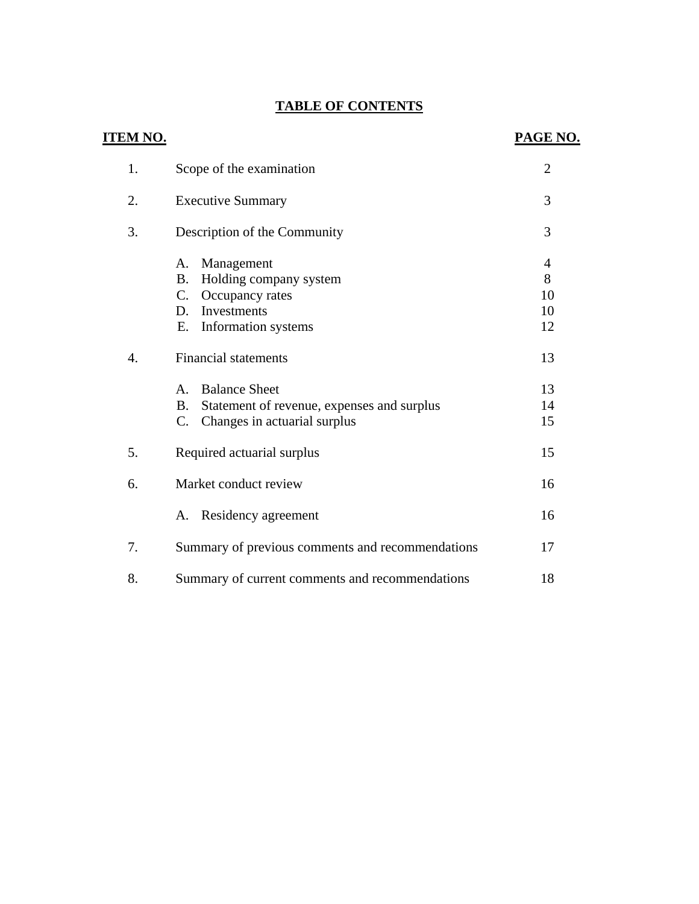# **TABLE OF CONTENTS**

| <u>ITEM NO.</u> |                                                                                                                                        | <b>PAGE NO.</b>          |
|-----------------|----------------------------------------------------------------------------------------------------------------------------------------|--------------------------|
| 1.              | Scope of the examination                                                                                                               | $\overline{2}$           |
| 2.              | <b>Executive Summary</b>                                                                                                               | 3                        |
| 3.              | Description of the Community                                                                                                           | 3                        |
|                 | A. Management<br>Holding company system<br><b>B.</b><br>C. Occupancy rates<br>Investments<br>D.<br>Е.<br>Information systems           | 4<br>8<br>10<br>10<br>12 |
| 4.              | <b>Financial statements</b>                                                                                                            | 13                       |
|                 | <b>Balance Sheet</b><br>$A_{1}$<br>Statement of revenue, expenses and surplus<br>B.<br>Changes in actuarial surplus<br>$\mathcal{C}$ . | 13<br>14<br>15           |
| 5.              | Required actuarial surplus                                                                                                             | 15                       |
| 6.              | Market conduct review                                                                                                                  | 16                       |
|                 | A. Residency agreement                                                                                                                 | 16                       |
| 7.              | Summary of previous comments and recommendations                                                                                       | 17                       |
| 8.              | Summary of current comments and recommendations                                                                                        | 18                       |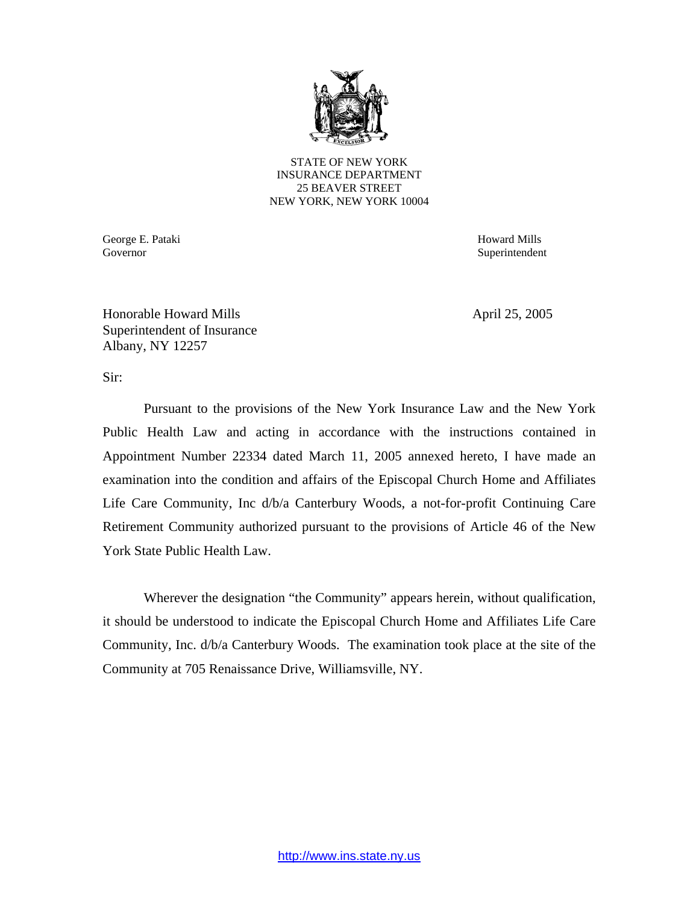

STATE OF NEW YORK INSURANCE DEPARTMENT 25 BEAVER STREET NEW YORK, NEW YORK 10004

George E. Pataki Howard Mills Governor Superintendent Superintendent Superintendent Superintendent Superintendent Superintendent Superintendent Superintendent Superintendent Superintendent Superintendent Superintendent Superintendent Superintendent Sup

Honorable Howard Mills April 25, 2005 Superintendent of Insurance Albany, NY 12257

Sir:

Pursuant to the provisions of the New York Insurance Law and the New York Public Health Law and acting in accordance with the instructions contained in Appointment Number 22334 dated March 11, 2005 annexed hereto, I have made an examination into the condition and affairs of the Episcopal Church Home and Affiliates Life Care Community, Inc d/b/a Canterbury Woods, a not-for-profit Continuing Care Retirement Community authorized pursuant to the provisions of Article 46 of the New York State Public Health Law.

Wherever the designation "the Community" appears herein, without qualification, it should be understood to indicate the Episcopal Church Home and Affiliates Life Care Community, Inc. d/b/a Canterbury Woods. The examination took place at the site of the Community at 705 Renaissance Drive, Williamsville, NY.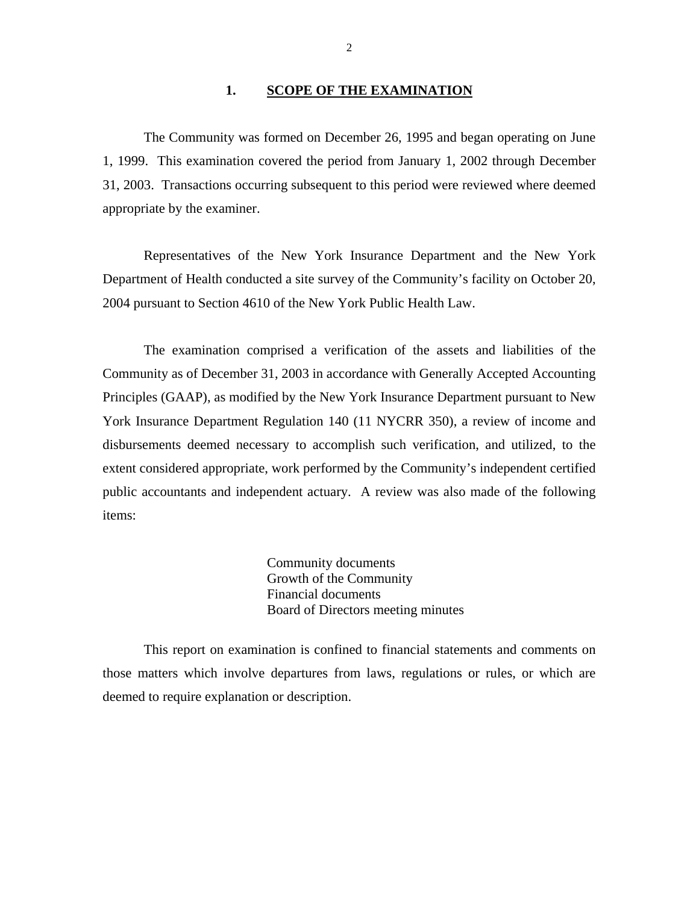#### **1. SCOPE OF THE EXAMINATION**

The Community was formed on December 26, 1995 and began operating on June 1, 1999. This examination covered the period from January 1, 2002 through December 31, 2003. Transactions occurring subsequent to this period were reviewed where deemed appropriate by the examiner.

Representatives of the New York Insurance Department and the New York Department of Health conducted a site survey of the Community's facility on October 20, 2004 pursuant to Section 4610 of the New York Public Health Law.

The examination comprised a verification of the assets and liabilities of the Community as of December 31, 2003 in accordance with Generally Accepted Accounting Principles (GAAP), as modified by the New York Insurance Department pursuant to New York Insurance Department Regulation 140 (11 NYCRR 350), a review of income and disbursements deemed necessary to accomplish such verification, and utilized, to the extent considered appropriate, work performed by the Community's independent certified public accountants and independent actuary. A review was also made of the following items:

> Community documents Growth of the Community Financial documents Board of Directors meeting minutes

This report on examination is confined to financial statements and comments on those matters which involve departures from laws, regulations or rules, or which are deemed to require explanation or description.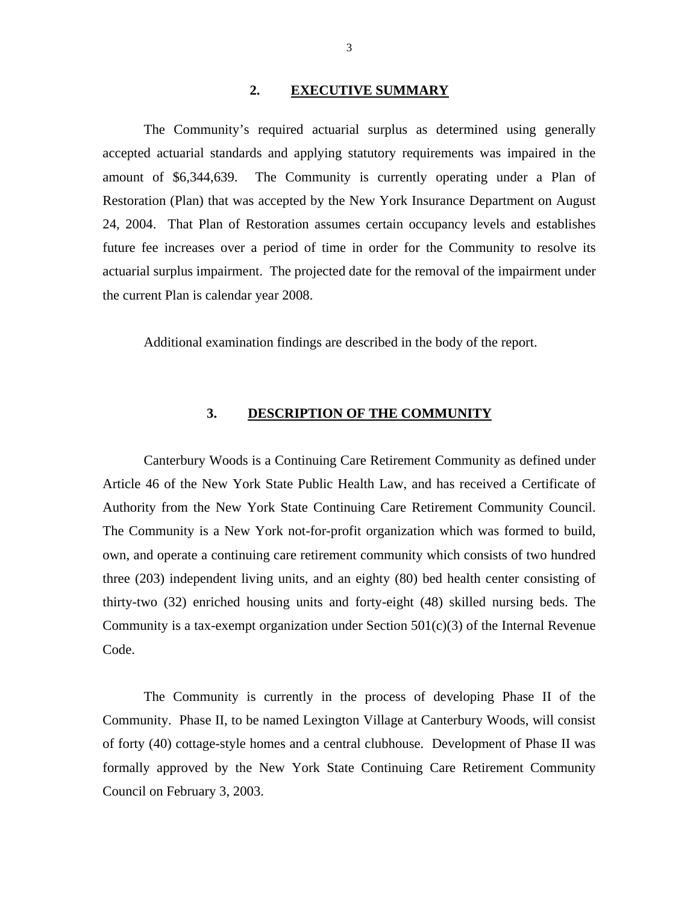#### **2. EXECUTIVE SUMMARY**

<span id="page-4-0"></span>The Community's required actuarial surplus as determined using generally accepted actuarial standards and applying statutory requirements was impaired in the amount of \$6,344,639. The Community is currently operating under a Plan of Restoration (Plan) that was accepted by the New York Insurance Department on August 24, 2004. That Plan of Restoration assumes certain occupancy levels and establishes future fee increases over a period of time in order for the Community to resolve its actuarial surplus impairment. The projected date for the removal of the impairment under the current Plan is calendar year 2008.

Additional examination findings are described in the body of the report.

## **3. DESCRIPTION OF THE COMMUNITY**

Canterbury Woods is a Continuing Care Retirement Community as defined under Article 46 of the New York State Public Health Law, and has received a Certificate of Authority from the New York State Continuing Care Retirement Community Council. The Community is a New York not-for-profit organization which was formed to build, own, and operate a continuing care retirement community which consists of two hundred three (203) independent living units, and an eighty (80) bed health center consisting of thirty-two (32) enriched housing units and forty-eight (48) skilled nursing beds. The Community is a tax-exempt organization under Section  $501(c)(3)$  of the Internal Revenue Code.

The Community is currently in the process of developing Phase II of the Community. Phase II, to be named Lexington Village at Canterbury Woods, will consist of forty (40) cottage-style homes and a central clubhouse. Development of Phase II was formally approved by the New York State Continuing Care Retirement Community Council on February 3, 2003.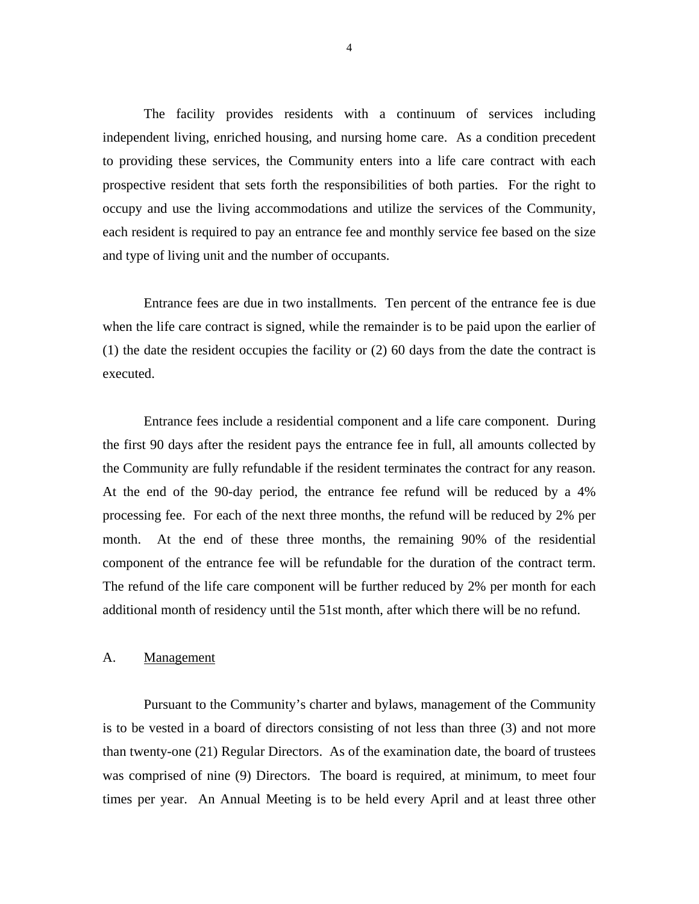<span id="page-5-0"></span>The facility provides residents with a continuum of services including independent living, enriched housing, and nursing home care. As a condition precedent to providing these services, the Community enters into a life care contract with each prospective resident that sets forth the responsibilities of both parties. For the right to occupy and use the living accommodations and utilize the services of the Community, each resident is required to pay an entrance fee and monthly service fee based on the size and type of living unit and the number of occupants.

Entrance fees are due in two installments. Ten percent of the entrance fee is due when the life care contract is signed, while the remainder is to be paid upon the earlier of (1) the date the resident occupies the facility or (2) 60 days from the date the contract is executed.

Entrance fees include a residential component and a life care component. During the first 90 days after the resident pays the entrance fee in full, all amounts collected by the Community are fully refundable if the resident terminates the contract for any reason. At the end of the 90-day period, the entrance fee refund will be reduced by a 4% processing fee. For each of the next three months, the refund will be reduced by 2% per month. At the end of these three months, the remaining 90% of the residential component of the entrance fee will be refundable for the duration of the contract term. The refund of the life care component will be further reduced by 2% per month for each additional month of residency until the 51st month, after which there will be no refund.

#### A. Management

Pursuant to the Community's charter and bylaws, management of the Community is to be vested in a board of directors consisting of not less than three (3) and not more than twenty-one (21) Regular Directors. As of the examination date, the board of trustees was comprised of nine (9) Directors. The board is required, at minimum, to meet four times per year. An Annual Meeting is to be held every April and at least three other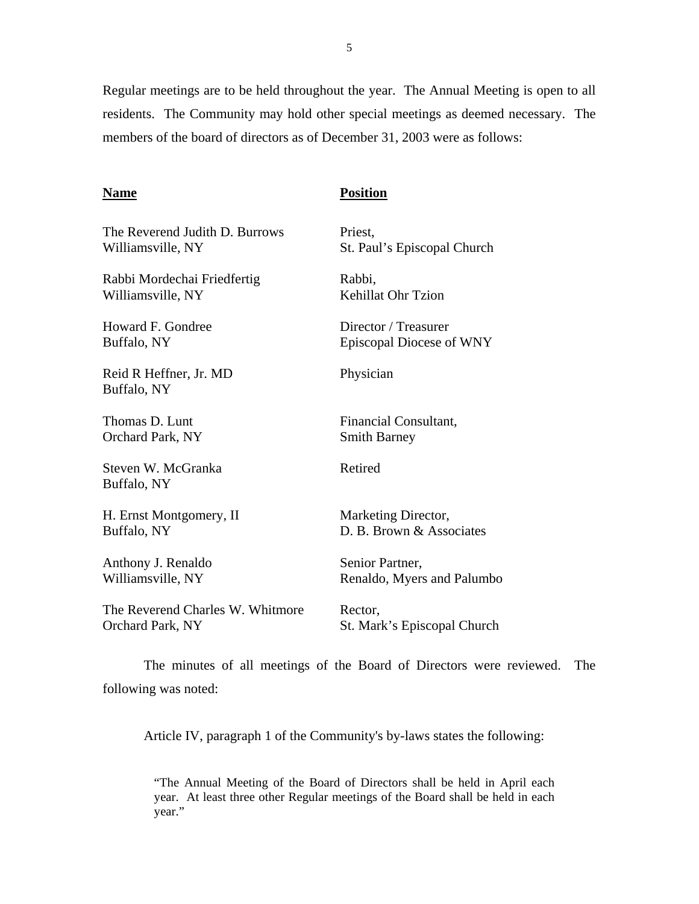Regular meetings are to be held throughout the year. The Annual Meeting is open to all residents. The Community may hold other special meetings as deemed necessary. The members of the board of directors as of December 31, 2003 were as follows:

#### **Name**

# **Position**

| The Reverend Judith D. Burrows        | Priest,                     |
|---------------------------------------|-----------------------------|
| Williamsville, NY                     | St. Paul's Episcopal Church |
| Rabbi Mordechai Friedfertig           | Rabbi,                      |
| Williamsville, NY                     | <b>Kehillat Ohr Tzion</b>   |
| <b>Howard F. Gondree</b>              | Director / Treasurer        |
| Buffalo, NY                           | Episcopal Diocese of WNY    |
| Reid R Heffner, Jr. MD<br>Buffalo, NY | Physician                   |
| Thomas D. Lunt                        | Financial Consultant,       |
| Orchard Park, NY                      | <b>Smith Barney</b>         |
| Steven W. McGranka<br>Buffalo, NY     | Retired                     |
| H. Ernst Montgomery, II               | Marketing Director,         |
| Buffalo, NY                           | D. B. Brown & Associates    |
| Anthony J. Renaldo                    | Senior Partner,             |
| Williamsville, NY                     | Renaldo, Myers and Palumbo  |
| The Reverend Charles W. Whitmore      | Rector,                     |
| Orchard Park, NY                      | St. Mark's Episcopal Church |
|                                       |                             |

The minutes of all meetings of the Board of Directors were reviewed. The following was noted:

Article IV, paragraph 1 of the Community's by-laws states the following:

"The Annual Meeting of the Board of Directors shall be held in April each year. At least three other Regular meetings of the Board shall be held in each year."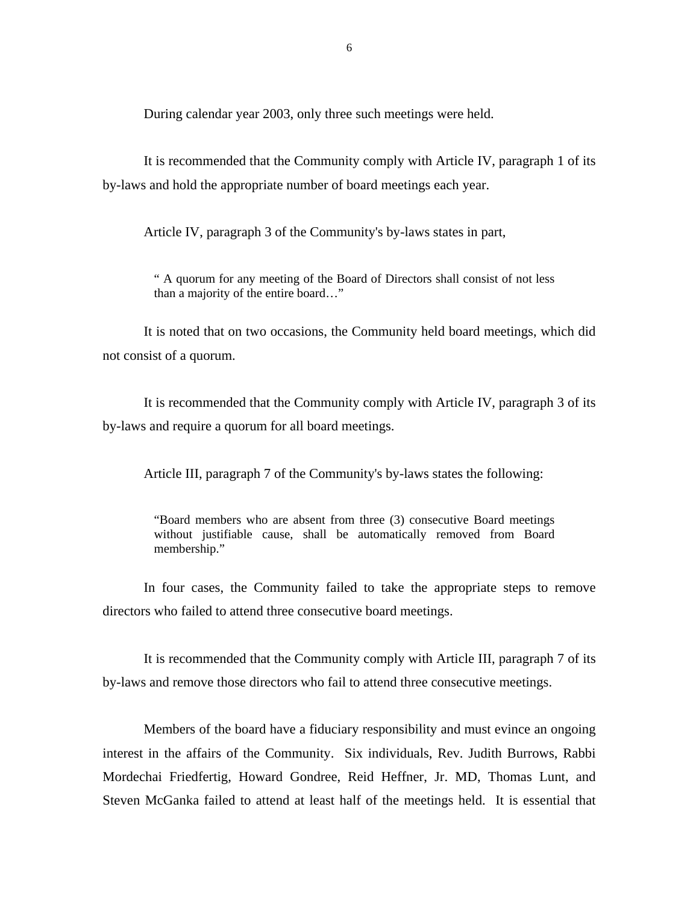During calendar year 2003, only three such meetings were held.

It is recommended that the Community comply with Article IV, paragraph 1 of its by-laws and hold the appropriate number of board meetings each year.

Article IV, paragraph 3 of the Community's by-laws states in part,

" A quorum for any meeting of the Board of Directors shall consist of not less than a majority of the entire board…"

It is noted that on two occasions, the Community held board meetings, which did not consist of a quorum.

It is recommended that the Community comply with Article IV, paragraph 3 of its by-laws and require a quorum for all board meetings.

Article III, paragraph 7 of the Community's by-laws states the following:

"Board members who are absent from three (3) consecutive Board meetings without justifiable cause, shall be automatically removed from Board membership."

In four cases, the Community failed to take the appropriate steps to remove directors who failed to attend three consecutive board meetings.

It is recommended that the Community comply with Article III, paragraph 7 of its by-laws and remove those directors who fail to attend three consecutive meetings.

Members of the board have a fiduciary responsibility and must evince an ongoing interest in the affairs of the Community. Six individuals, Rev. Judith Burrows, Rabbi Mordechai Friedfertig, Howard Gondree, Reid Heffner, Jr. MD, Thomas Lunt, and Steven McGanka failed to attend at least half of the meetings held. It is essential that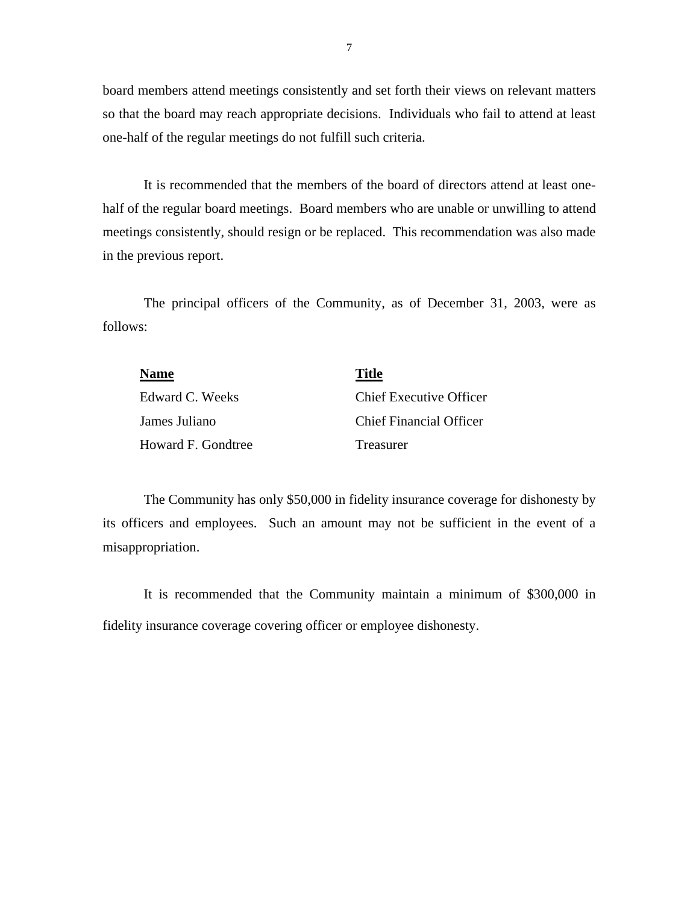board members attend meetings consistently and set forth their views on relevant matters so that the board may reach appropriate decisions. Individuals who fail to attend at least one-half of the regular meetings do not fulfill such criteria.

It is recommended that the members of the board of directors attend at least onehalf of the regular board meetings. Board members who are unable or unwilling to attend meetings consistently, should resign or be replaced. This recommendation was also made in the previous report.

The principal officers of the Community, as of December 31, 2003, were as follows:

| <b>Name</b>        | <b>Title</b>                   |
|--------------------|--------------------------------|
| Edward C. Weeks    | <b>Chief Executive Officer</b> |
| James Juliano      | Chief Financial Officer        |
| Howard F. Gondtree | <b>Treasurer</b>               |

The Community has only \$50,000 in fidelity insurance coverage for dishonesty by its officers and employees. Such an amount may not be sufficient in the event of a misappropriation.

It is recommended that the Community maintain a minimum of \$300,000 in fidelity insurance coverage covering officer or employee dishonesty.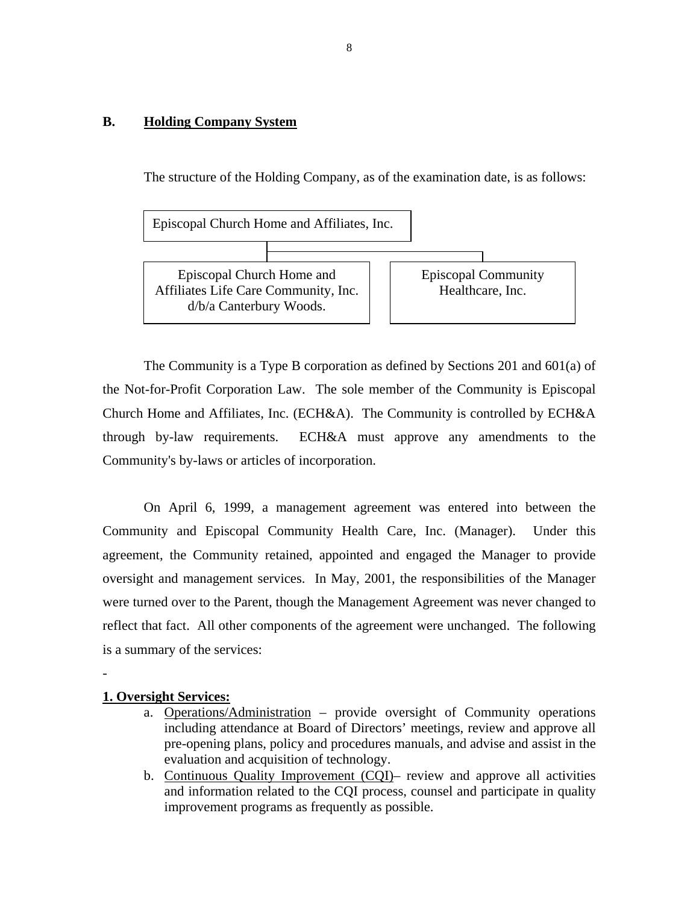# <span id="page-9-0"></span>**B. Holding Company System**

The structure of the Holding Company, as of the examination date, is as follows:



The Community is a Type B corporation as defined by Sections 201 and 601(a) of the Not-for-Profit Corporation Law. The sole member of the Community is Episcopal Church Home and Affiliates, Inc. (ECH&A). The Community is controlled by ECH&A through by-law requirements. ECH&A must approve any amendments to the Community's by-laws or articles of incorporation.

On April 6, 1999, a management agreement was entered into between the Community and Episcopal Community Health Care, Inc. (Manager). Under this agreement, the Community retained, appointed and engaged the Manager to provide oversight and management services. In May, 2001, the responsibilities of the Manager were turned over to the Parent, though the Management Agreement was never changed to reflect that fact. All other components of the agreement were unchanged. The following is a summary of the services:

## **1. Oversight Services:**

-

- a. Operations/Administration provide oversight of Community operations including attendance at Board of Directors' meetings, review and approve all pre-opening plans, policy and procedures manuals, and advise and assist in the evaluation and acquisition of technology.
- b. Continuous Quality Improvement (CQI)– review and approve all activities and information related to the CQI process, counsel and participate in quality improvement programs as frequently as possible.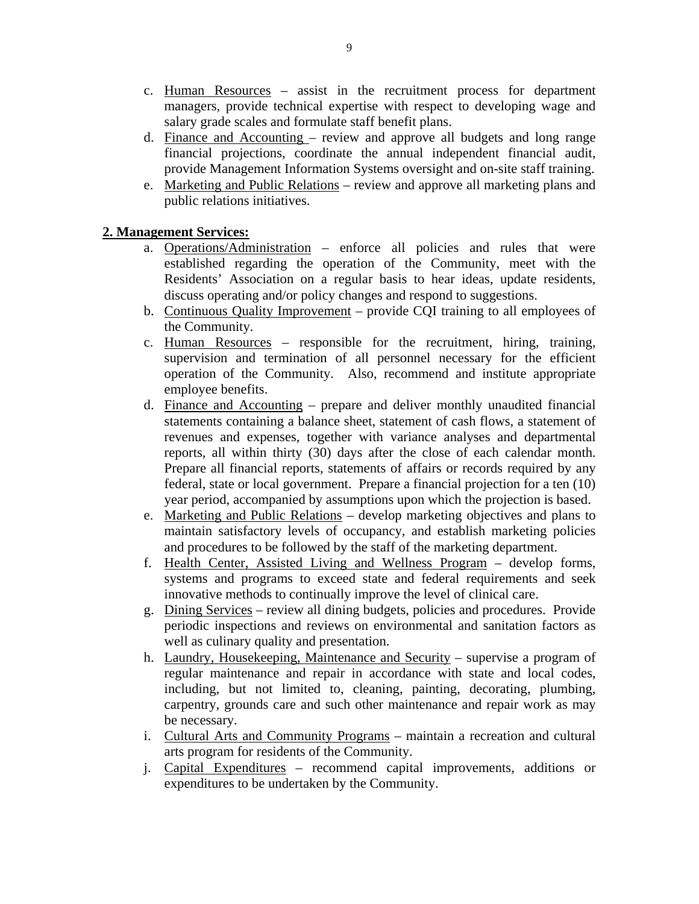- c. Human Resources assist in the recruitment process for department managers, provide technical expertise with respect to developing wage and salary grade scales and formulate staff benefit plans.
- d. Finance and Accounting review and approve all budgets and long range financial projections, coordinate the annual independent financial audit, provide Management Information Systems oversight and on-site staff training.
- e. Marketing and Public Relations review and approve all marketing plans and public relations initiatives.

# **2. Management Services:**

- a. Operations/Administration enforce all policies and rules that were established regarding the operation of the Community, meet with the Residents' Association on a regular basis to hear ideas, update residents, discuss operating and/or policy changes and respond to suggestions.
- b. Continuous Quality Improvement provide CQI training to all employees of the Community.
- c. Human Resources responsible for the recruitment, hiring, training, supervision and termination of all personnel necessary for the efficient operation of the Community. Also, recommend and institute appropriate employee benefits.
- reports, all within thirty (30) days after the close of each calendar month. d. Finance and Accounting – prepare and deliver monthly unaudited financial statements containing a balance sheet, statement of cash flows, a statement of revenues and expenses, together with variance analyses and departmental Prepare all financial reports, statements of affairs or records required by any federal, state or local government. Prepare a financial projection for a ten (10) year period, accompanied by assumptions upon which the projection is based.
- e. Marketing and Public Relations develop marketing objectives and plans to maintain satisfactory levels of occupancy, and establish marketing policies and procedures to be followed by the staff of the marketing department.
- f. Health Center, Assisted Living and Wellness Program develop forms, systems and programs to exceed state and federal requirements and seek innovative methods to continually improve the level of clinical care.
- g. Dining Services review all dining budgets, policies and procedures. Provide periodic inspections and reviews on environmental and sanitation factors as well as culinary quality and presentation.
- h. Laundry, Housekeeping, Maintenance and Security supervise a program of regular maintenance and repair in accordance with state and local codes, including, but not limited to, cleaning, painting, decorating, plumbing, carpentry, grounds care and such other maintenance and repair work as may be necessary.
- i. Cultural Arts and Community Programs maintain a recreation and cultural arts program for residents of the Community.
- j. Capital Expenditures recommend capital improvements, additions or expenditures to be undertaken by the Community.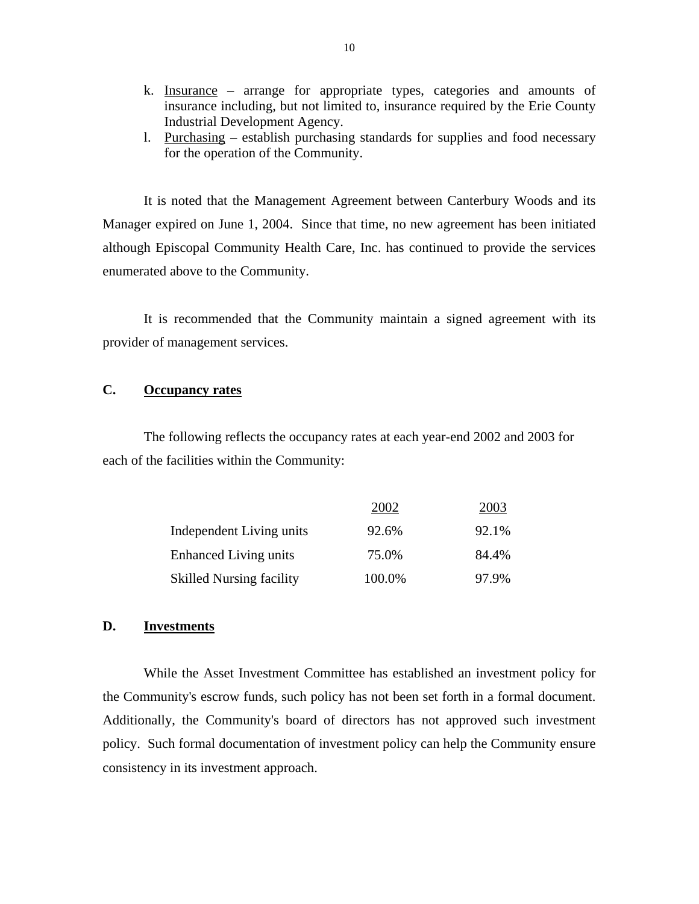- k. Insurance arrange for appropriate types, categories and amounts of insurance including, but not limited to, insurance required by the Erie County Industrial Development Agency.
- l. Purchasing establish purchasing standards for supplies and food necessary for the operation of the Community.

It is noted that the Management Agreement between Canterbury Woods and its Manager expired on June 1, 2004. Since that time, no new agreement has been initiated although Episcopal Community Health Care, Inc. has continued to provide the services enumerated above to the Community.

It is recommended that the Community maintain a signed agreement with its provider of management services.

# **C. Occupancy rates**

The following reflects the occupancy rates at each year-end 2002 and 2003 for each of the facilities within the Community:

|                                 | 2002   | 2003  |
|---------------------------------|--------|-------|
| Independent Living units        | 92.6%  | 92.1% |
| <b>Enhanced Living units</b>    | 75.0%  | 84.4% |
| <b>Skilled Nursing facility</b> | 100.0% | 97.9% |

## **D. Investments**

 the Community's escrow funds, such policy has not been set forth in a formal document. Additionally, the Community's board of directors has not approved such investment While the Asset Investment Committee has established an investment policy for policy. Such formal documentation of investment policy can help the Community ensure consistency in its investment approach.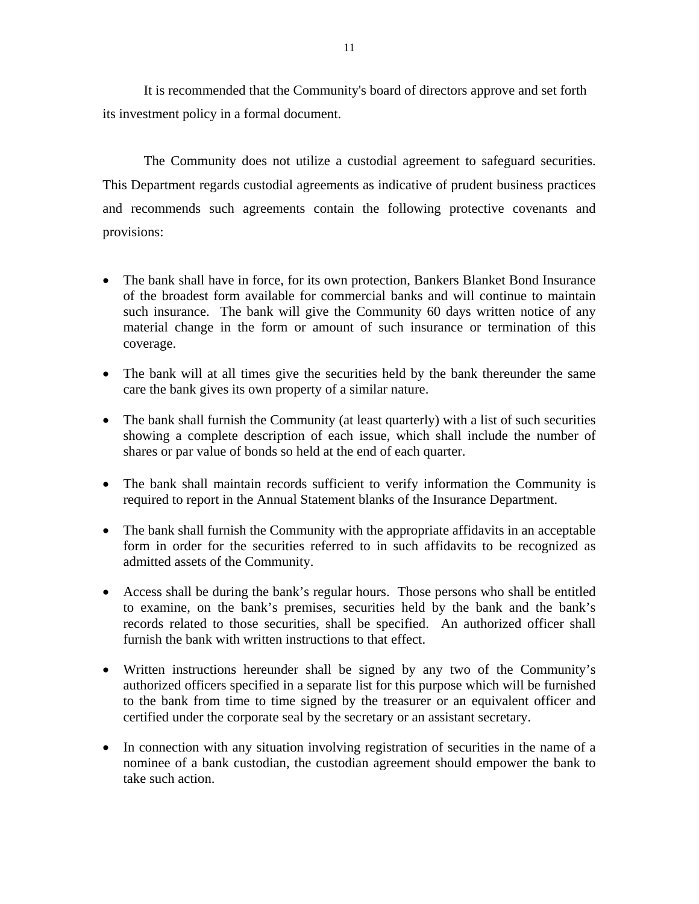It is recommended that the Community's board of directors approve and set forth its investment policy in a formal document.

The Community does not utilize a custodial agreement to safeguard securities. This Department regards custodial agreements as indicative of prudent business practices. and recommends such agreements contain the following protective covenants and provisions:

- The bank shall have in force, for its own protection, Bankers Blanket Bond Insurance of the broadest form available for commercial banks and will continue to maintain such insurance. The bank will give the Community 60 days written notice of any material change in the form or amount of such insurance or termination of this coverage.
- The bank will at all times give the securities held by the bank thereunder the same care the bank gives its own property of a similar nature.
- The bank shall furnish the Community (at least quarterly) with a list of such securities showing a complete description of each issue, which shall include the number of shares or par value of bonds so held at the end of each quarter.
- The bank shall maintain records sufficient to verify information the Community is required to report in the Annual Statement blanks of the Insurance Department.
- The bank shall furnish the Community with the appropriate affidavits in an acceptable form in order for the securities referred to in such affidavits to be recognized as admitted assets of the Community.
- Access shall be during the bank's regular hours. Those persons who shall be entitled to examine, on the bank's premises, securities held by the bank and the bank's records related to those securities, shall be specified. An authorized officer shall furnish the bank with written instructions to that effect.
- certified under the corporate seal by the secretary or an assistant secretary. • Written instructions hereunder shall be signed by any two of the Community's authorized officers specified in a separate list for this purpose which will be furnished to the bank from time to time signed by the treasurer or an equivalent officer and
- In connection with any situation involving registration of securities in the name of a nominee of a bank custodian, the custodian agreement should empower the bank to take such action.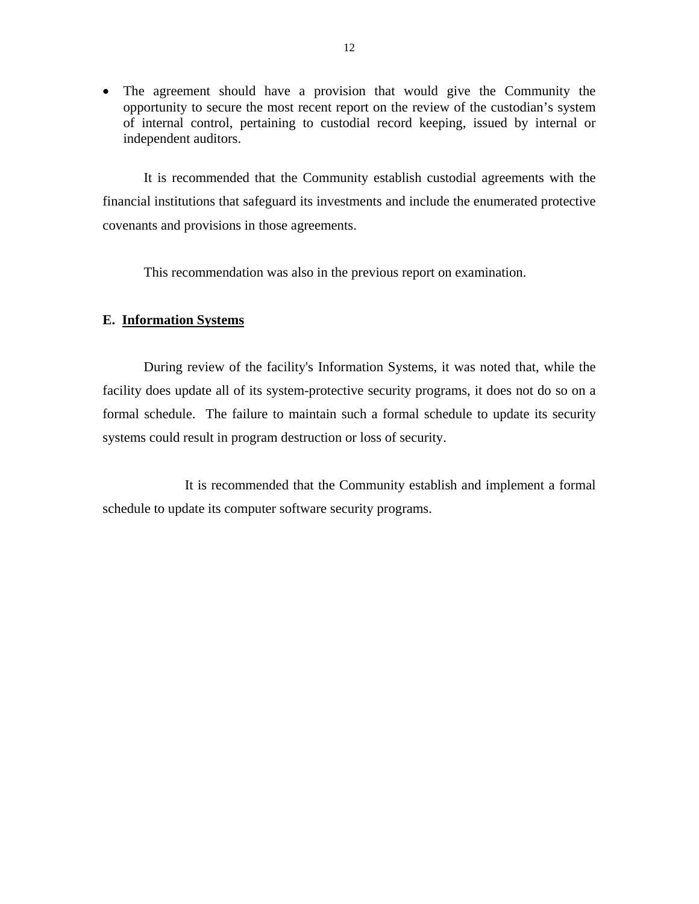<span id="page-13-0"></span>• The agreement should have a provision that would give the Community the opportunity to secure the most recent report on the review of the custodian's system of internal control, pertaining to custodial record keeping, issued by internal or independent auditors.

It is recommended that the Community establish custodial agreements with the financial institutions that safeguard its investments and include the enumerated protective covenants and provisions in those agreements.

This recommendation was also in the previous report on examination.

# **E. Information Systems**

During review of the facility's Information Systems, it was noted that, while the facility does update all of its system-protective security programs, it does not do so on a formal schedule. The failure to maintain such a formal schedule to update its security systems could result in program destruction or loss of security.

It is recommended that the Community establish and implement a formal schedule to update its computer software security programs.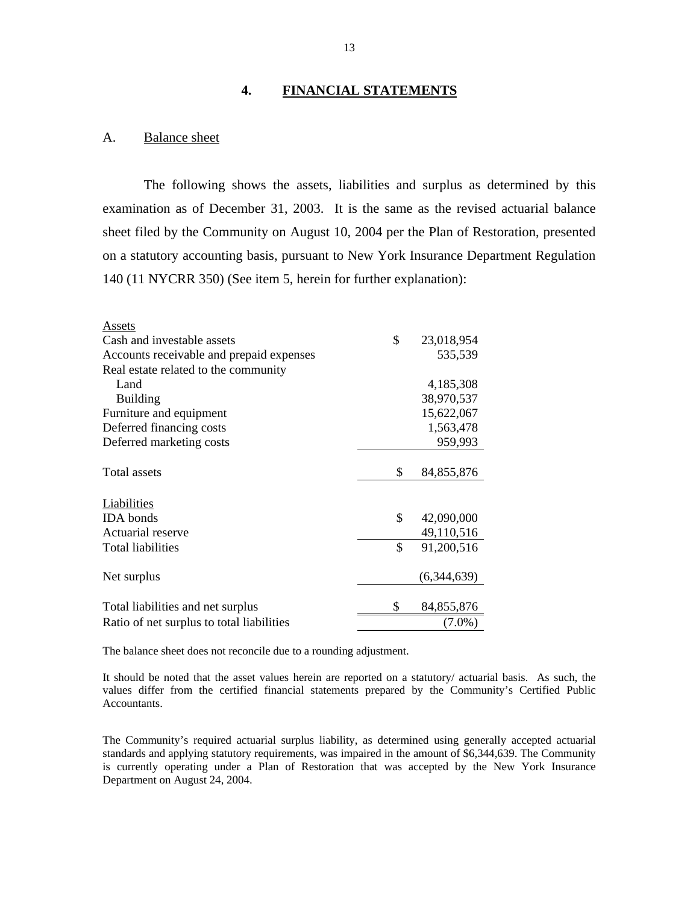#### **4. FINANCIAL STATEMENTS**

#### A. Balance sheet

The following shows the assets, liabilities and surplus as determined by this examination as of December 31, 2003. It is the same as the revised actuarial balance sheet filed by the Community on August 10, 2004 per the Plan of Restoration, presented on a statutory accounting basis, pursuant to New York Insurance Department Regulation 140 (11 NYCRR 350) (See item 5, herein for further explanation):

| Assets                                    |                    |
|-------------------------------------------|--------------------|
| Cash and investable assets                | \$<br>23,018,954   |
| Accounts receivable and prepaid expenses  | 535,539            |
| Real estate related to the community      |                    |
| Land                                      | 4,185,308          |
| <b>Building</b>                           | 38,970,537         |
| Furniture and equipment                   | 15,622,067         |
| Deferred financing costs                  | 1,563,478          |
| Deferred marketing costs                  | 959,993            |
|                                           |                    |
| Total assets                              | \$<br>84, 855, 876 |
|                                           |                    |
| Liabilities                               |                    |
| <b>IDA</b> bonds                          | \$<br>42,090,000   |
| Actuarial reserve                         | 49,110,516         |
| Total liabilities                         | \$<br>91,200,516   |
| Net surplus                               | (6,344,639)        |
|                                           |                    |
| Total liabilities and net surplus         | \$<br>84, 855, 876 |
| Ratio of net surplus to total liabilities | $(7.0\%)$          |
|                                           |                    |

The balance sheet does not reconcile due to a rounding adjustment.

 It should be noted that the asset values herein are reported on a statutory/ actuarial basis. As such, the values differ from the certified financial statements prepared by the Community's Certified Public Accountants.

The Community's required actuarial surplus liability, as determined using generally accepted actuarial standards and applying statutory requirements, was impaired in the amount of \$6,344,639. The Community is currently operating under a Plan of Restoration that was accepted by the New York Insurance Department on August 24, 2004.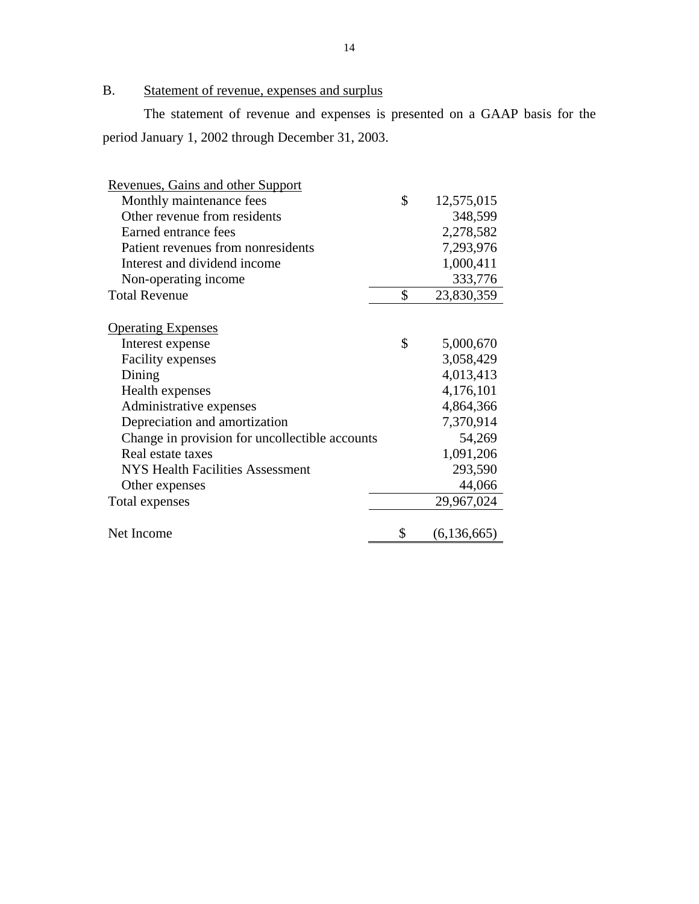# <span id="page-15-0"></span>B. Statement of revenue, expenses and surplus

The statement of revenue and expenses is presented on a GAAP basis for the period January 1, 2002 through December 31, 2003.

| \$<br>Monthly maintenance fees<br>12,575,015<br>Other revenue from residents<br>348,599<br>Earned entrance fees<br>2,278,582<br>Patient revenues from nonresidents<br>7,293,976<br>1,000,411<br>Interest and dividend income<br>333,776<br>Non-operating income<br><b>Total Revenue</b><br>\$<br>23,830,359<br><b>Operating Expenses</b><br>\$<br>5,000,670<br>Interest expense<br>3,058,429<br><b>Facility expenses</b><br>Dining<br>4,013,413<br>4,176,101<br>Health expenses<br>4,864,366<br>Administrative expenses<br>7,370,914<br>Depreciation and amortization<br>Change in provision for uncollectible accounts<br>54,269<br>Real estate taxes<br>1,091,206<br>293,590<br><b>NYS Health Facilities Assessment</b><br>44,066<br>Other expenses<br>29,967,024<br>Total expenses<br>\$<br>Net Income<br>(6, 136, 665) | Revenues, Gains and other Support |  |  |
|----------------------------------------------------------------------------------------------------------------------------------------------------------------------------------------------------------------------------------------------------------------------------------------------------------------------------------------------------------------------------------------------------------------------------------------------------------------------------------------------------------------------------------------------------------------------------------------------------------------------------------------------------------------------------------------------------------------------------------------------------------------------------------------------------------------------------|-----------------------------------|--|--|
|                                                                                                                                                                                                                                                                                                                                                                                                                                                                                                                                                                                                                                                                                                                                                                                                                            |                                   |  |  |
|                                                                                                                                                                                                                                                                                                                                                                                                                                                                                                                                                                                                                                                                                                                                                                                                                            |                                   |  |  |
|                                                                                                                                                                                                                                                                                                                                                                                                                                                                                                                                                                                                                                                                                                                                                                                                                            |                                   |  |  |
|                                                                                                                                                                                                                                                                                                                                                                                                                                                                                                                                                                                                                                                                                                                                                                                                                            |                                   |  |  |
|                                                                                                                                                                                                                                                                                                                                                                                                                                                                                                                                                                                                                                                                                                                                                                                                                            |                                   |  |  |
|                                                                                                                                                                                                                                                                                                                                                                                                                                                                                                                                                                                                                                                                                                                                                                                                                            |                                   |  |  |
|                                                                                                                                                                                                                                                                                                                                                                                                                                                                                                                                                                                                                                                                                                                                                                                                                            |                                   |  |  |
|                                                                                                                                                                                                                                                                                                                                                                                                                                                                                                                                                                                                                                                                                                                                                                                                                            |                                   |  |  |
|                                                                                                                                                                                                                                                                                                                                                                                                                                                                                                                                                                                                                                                                                                                                                                                                                            |                                   |  |  |
|                                                                                                                                                                                                                                                                                                                                                                                                                                                                                                                                                                                                                                                                                                                                                                                                                            |                                   |  |  |
|                                                                                                                                                                                                                                                                                                                                                                                                                                                                                                                                                                                                                                                                                                                                                                                                                            |                                   |  |  |
|                                                                                                                                                                                                                                                                                                                                                                                                                                                                                                                                                                                                                                                                                                                                                                                                                            |                                   |  |  |
|                                                                                                                                                                                                                                                                                                                                                                                                                                                                                                                                                                                                                                                                                                                                                                                                                            |                                   |  |  |
|                                                                                                                                                                                                                                                                                                                                                                                                                                                                                                                                                                                                                                                                                                                                                                                                                            |                                   |  |  |
|                                                                                                                                                                                                                                                                                                                                                                                                                                                                                                                                                                                                                                                                                                                                                                                                                            |                                   |  |  |
|                                                                                                                                                                                                                                                                                                                                                                                                                                                                                                                                                                                                                                                                                                                                                                                                                            |                                   |  |  |
|                                                                                                                                                                                                                                                                                                                                                                                                                                                                                                                                                                                                                                                                                                                                                                                                                            |                                   |  |  |
|                                                                                                                                                                                                                                                                                                                                                                                                                                                                                                                                                                                                                                                                                                                                                                                                                            |                                   |  |  |
|                                                                                                                                                                                                                                                                                                                                                                                                                                                                                                                                                                                                                                                                                                                                                                                                                            |                                   |  |  |
|                                                                                                                                                                                                                                                                                                                                                                                                                                                                                                                                                                                                                                                                                                                                                                                                                            |                                   |  |  |
|                                                                                                                                                                                                                                                                                                                                                                                                                                                                                                                                                                                                                                                                                                                                                                                                                            |                                   |  |  |
|                                                                                                                                                                                                                                                                                                                                                                                                                                                                                                                                                                                                                                                                                                                                                                                                                            |                                   |  |  |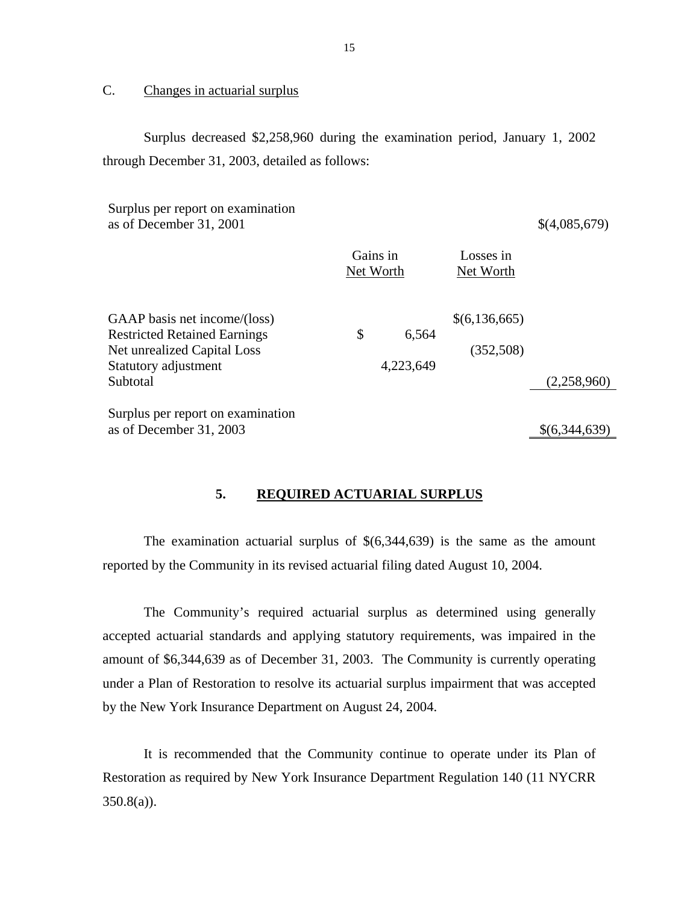# C. Changes in actuarial surplus

Surplus decreased \$2,258,960 during the examination period, January 1, 2002 through December 31, 2003, detailed as follows:

Net Worth Surplus per report on examination as of December 31, 2001 \$(4,085,679) Gains in Net Worth Losses in Net Worth Net Worth Net Worth<br>GAAP basis net income/(loss) \$(6,136,665) Restricted Retained Earnings  $\qquad$  \$ 6,564 Net unrealized Capital Loss (352,508) Statutory adjustment 4,223,649 Subtotal (2,258,960) Surplus per report on examination as of December 31, 2003 \$(6,344,639)

# **5. REQUIRED ACTUARIAL SURPLUS**

The examination actuarial surplus of  $\$(6,344,639)$  is the same as the amount reported by the Community in its revised actuarial filing dated August 10, 2004.

The Community's required actuarial surplus as determined using generally accepted actuarial standards and applying statutory requirements, was impaired in the amount of \$6,344,639 as of December 31, 2003. The Community is currently operating under a Plan of Restoration to resolve its actuarial surplus impairment that was accepted by the New York Insurance Department on August 24, 2004.

It is recommended that the Community continue to operate under its Plan of Restoration as required by New York Insurance Department Regulation 140 (11 NYCRR  $350.8(a)$ ).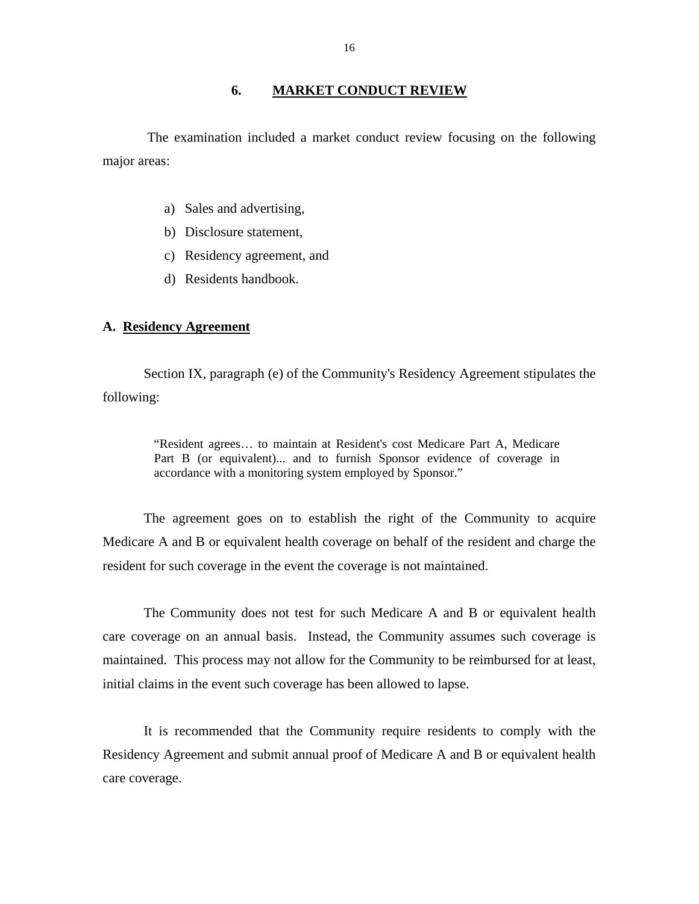#### **6. MARKET CONDUCT REVIEW**

<span id="page-17-0"></span>The examination included a market conduct review focusing on the following major areas:

- a) Sales and advertising,
- b) Disclosure statement,
- c) Residency agreement, and
- d) Residents handbook.

# **A. Residency Agreement**

Section IX, paragraph (e) of the Community's Residency Agreement stipulates the following:

> "Resident agrees… to maintain at Resident's cost Medicare Part A, Medicare Part B (or equivalent)... and to furnish Sponsor evidence of coverage in accordance with a monitoring system employed by Sponsor."

The agreement goes on to establish the right of the Community to acquire Medicare A and B or equivalent health coverage on behalf of the resident and charge the resident for such coverage in the event the coverage is not maintained.

The Community does not test for such Medicare A and B or equivalent health care coverage on an annual basis. Instead, the Community assumes such coverage is maintained. This process may not allow for the Community to be reimbursed for at least, initial claims in the event such coverage has been allowed to lapse.

It is recommended that the Community require residents to comply with the Residency Agreement and submit annual proof of Medicare A and B or equivalent health care coverage.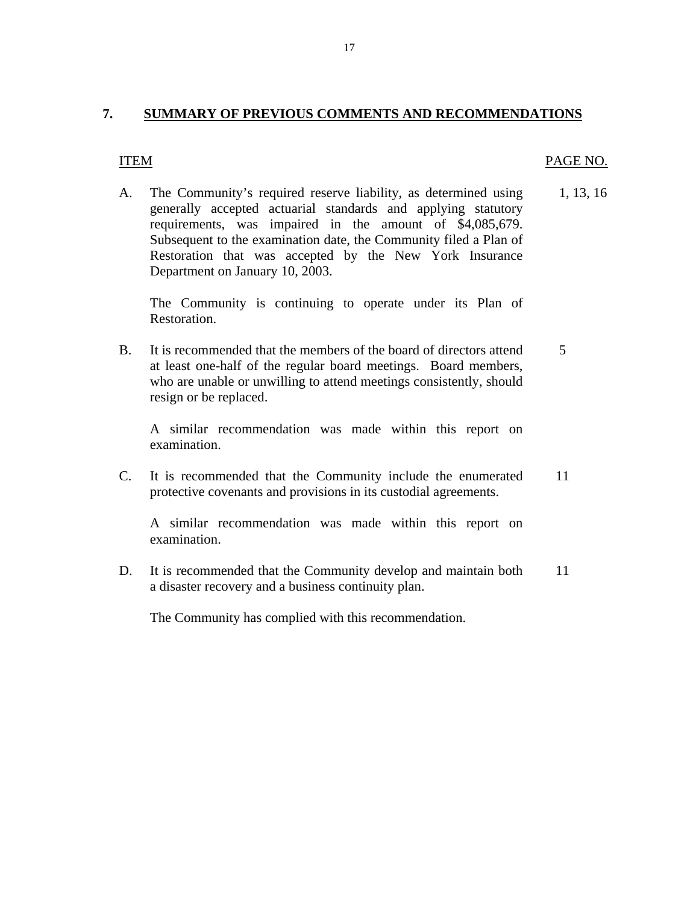# <span id="page-18-0"></span>**7. SUMMARY OF PREVIOUS COMMENTS AND RECOMMENDATIONS**

## ITEM PAGE NO.

A. The Community's required reserve liability, as determined using 1, 13, 16 generally accepted actuarial standards and applying statutory requirements, was impaired in the amount of \$4,085,679. Subsequent to the examination date, the Community filed a Plan of Restoration that was accepted by the New York Insurance Department on January 10, 2003.

The Community is continuing to operate under its Plan of Restoration.

B. It is recommended that the members of the board of directors attend  $\frac{5}{5}$ at least one-half of the regular board meetings. Board members, who are unable or unwilling to attend meetings consistently, should resign or be replaced.

A similar recommendation was made within this report on examination.

C. It is recommended that the Community include the enumerated 11 protective covenants and provisions in its custodial agreements.

A similar recommendation was made within this report on examination.

D. It is recommended that the Community develop and maintain both 11 a disaster recovery and a business continuity plan.

The Community has complied with this recommendation.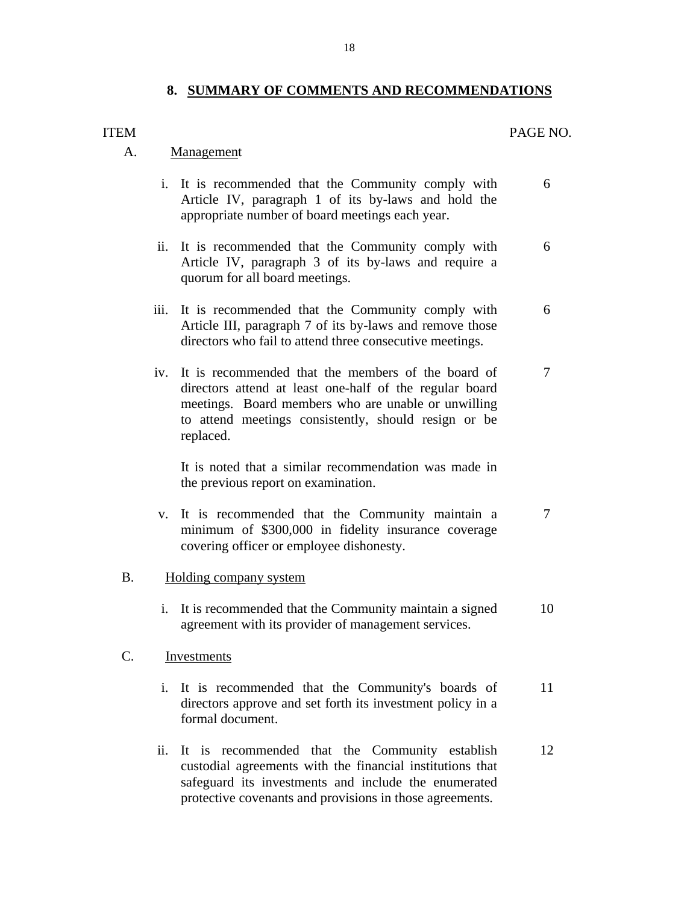# **8. SUMMARY OF COMMENTS AND RECOMMENDATIONS**

#### <span id="page-19-0"></span>ITEM

# PAGE NO.

# A. Management

- i. It is recommended that the Community comply with Article IV, paragraph 1 of its by-laws and hold the appropriate number of board meetings each year. 6
- ii. It is recommended that the Community comply with Article IV, paragraph 3 of its by-laws and require a quorum for all board meetings. 6
- iii. It is recommended that the Community comply with Article III, paragraph 7 of its by-laws and remove those directors who fail to attend three consecutive meetings. 6
- iv. It is recommended that the members of the board of directors attend at least one-half of the regular board meetings. Board members who are unable or unwilling to attend meetings consistently, should resign or be replaced. 7

It is noted that a similar recommendation was made in the previous report on examination.

- v. It is recommended that the Community maintain a minimum of \$300,000 in fidelity insurance coverage covering officer or employee dishonesty. 7
- B. Holding company system
	- i. It is recommended that the Community maintain a signed agreement with its provider of management services. 10

#### Investments

- C. Investments<br>i. It is recommended that the Community's boards of directors approve and set forth its investment policy in a formal document. 11
	- ii. It is recommended that the Community establish custodial agreements with the financial institutions that safeguard its investments and include the enumerated protective covenants and provisions in those agreements. 12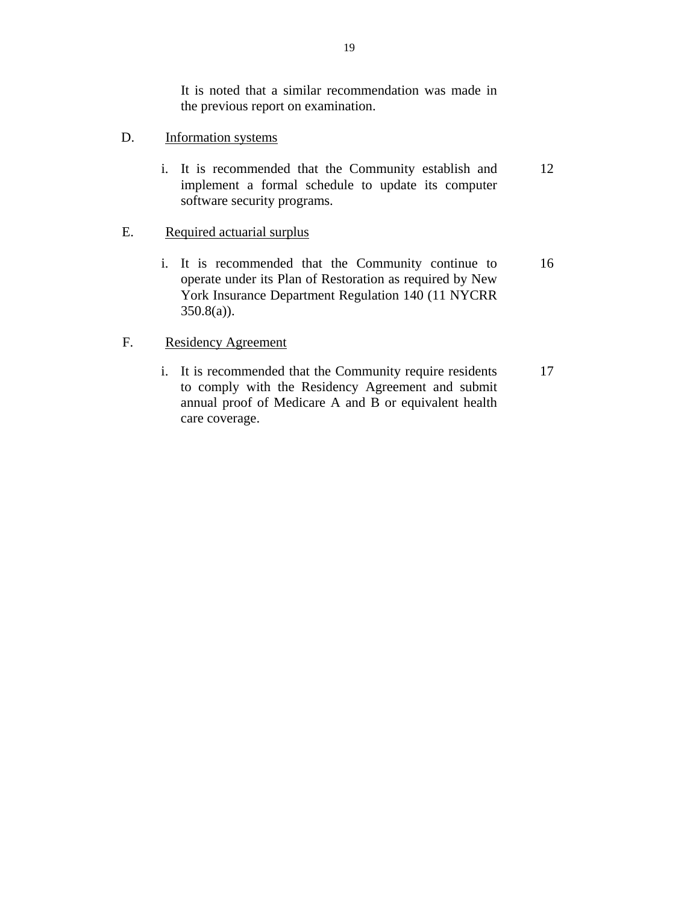It is noted that a similar recommendation was made in the previous report on examination.

- Information systems
- D. Information systems<br>i. It is recommended that the Community establish and implement a formal schedule to update its computer software security programs. 12

# Required actuarial surplus

E. <u>Required actuarial surplus</u><br>i. It is recommended that the Community continue to operate under its Plan of Restoration as required by New York Insurance Department Regulation 140 (11 NYCRR 350.8(a)). 16

# F. Residency Agreement

i. It is recommended that the Community require residents to comply with the Residency Agreement and submit annual proof of Medicare A and B or equivalent health care coverage. 17